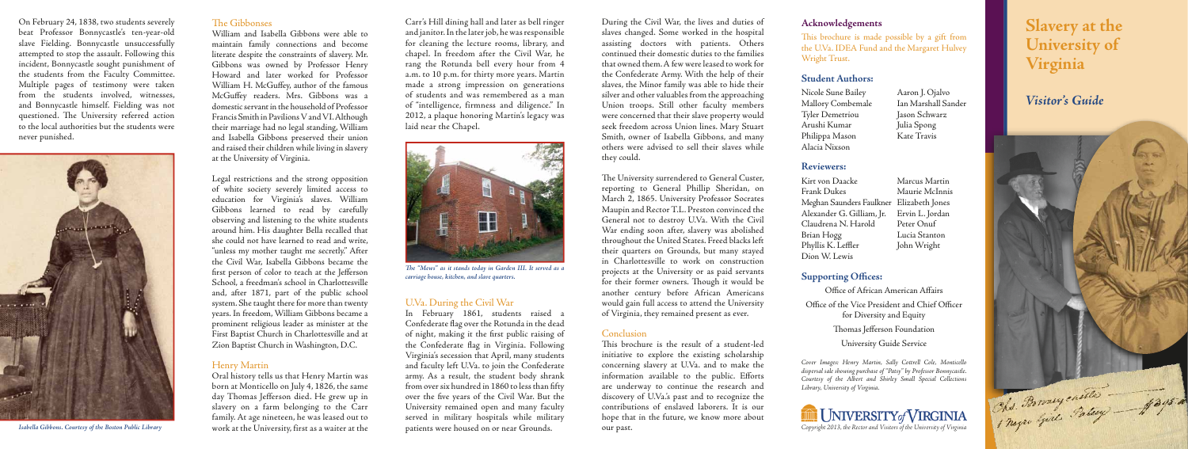William and Isabella Gibbons were able to maintain family connections and become literate despite the constraints of slavery. Mr. Gibbons was owned by Professor Henry Howard and later worked for Professor William H. McGuffey, author of the famous McGuffey readers. Mrs. Gibbons was a domestic servant in the household of Professor Francis Smith in Pavilions V and VI. Although their marriage had no legal standing, William and Isabella Gibbons preserved their union and raised their children while living in slavery at the University of Virginia.

Legal restrictions and the strong opposition of white society severely limited access to education for Virginia's slaves. William Gibbons learned to read by carefully observing and listening to the white students around him. His daughter Bella recalled that she could not have learned to read and write, "unless my mother taught me secretly." After the Civil War, Isabella Gibbons became the first person of color to teach at the Jefferson School, a freedman's school in Charlottesville and, after 1871, part of the public school system. She taught there for more than twenty years. In freedom, William Gibbons became a prominent religious leader as minister at the First Baptist Church in Charlottesville and at Zion Baptist Church in Washington, D.C.

### Henry Martin

Oral history tells us that Henry Martin was born at Monticello on July 4, 1826, the same day Thomas Jefferson died. He grew up in slavery on a farm belonging to the Carr family. At age nineteen, he was leased out to work at the University, first as a waiter at the Carr's Hill dining hall and later as bell ringer and janitor. In the later job, he was responsible for cleaning the lecture rooms, library, and chapel. In freedom after the Civil War, he rang the Rotunda bell every hour from 4 a.m. to 10 p.m. for thirty more years. Martin made a strong impression on generations of students and was remembered as a man of "intelligence, firmness and diligence." In 2012, a plaque honoring Martin's legacy was laid near the Chapel.

> The University surrendered to General Custer, reporting to General Phillip Sheridan, on March 2, 1865. University Professor Socrates Maupin and Rector T.L. Preston convinced the General not to destroy U.Va. With the Civil War ending soon after, slavery was abolished throughout the United States. Freed blacks left their quarters on Grounds, but many stayed in Charlottesville to work on construction projects at the University or as paid servants for their former owners. Though it would be another century before African Americans would gain full access to attend the University of Virginia, they remained present as ever.

### **Conclusion**

## U.Va. During the Civil War

This brochure is the result of a student-led initiative to explore the existing scholarship concerning slavery at U.Va. and to make the information available to the public. Efforts are underway to continue the research and discovery of U.Va.'s past and to recognize the contributions of enslaved laborers. It is our hope that in the future, we know more about our past.

This brochure is made possible by a gift from the U.Va. IDEA Fund and the Margaret Hulvey Wright Trust.

In February 1861, students raised a Confederate flag over the Rotunda in the dead of night, making it the first public raising of the Confederate flag in Virginia. Following Virginia's secession that April, many students and faculty left U.Va. to join the Confederate army. As a result, the student body shrank from over six hundred in 1860 to less than fifty over the five years of the Civil War. But the University remained open and many faculty served in military hospitals while military patients were housed on or near Grounds.

Kirt von Daacke Marcus Martin Frank Dukes Maurie McInnis Meghan Saunders Faulkner Elizabeth Jones Alexander G. Gilliam, Jr. Ervin L. Jordan Claudrena N. Harold Peter Onuf Brian Hogg Lucia Stanton Phyllis K. Leffler John Wright Dion W. Lewis



The "Mews" as it stands today in Garden III. It served as a **carriage house, kitchen, and slave quarters.** 

During the Civil War, the lives and duties of slaves changed. Some worked in the hospital assisting doctors with patients. Others continued their domestic duties to the families that owned them. A few were leased to work for the Confederate Army. With the help of their slaves, the Minor family was able to hide their silver and other valuables from the approaching Union troops. Still other faculty members were concerned that their slave property would seek freedom across Union lines. Mary Stuart Smith, owner of Isabella Gibbons, and many others were advised to sell their slaves while they could.

### **Acknowledgements**

### **Student Authors:**

Nicole Sune Bailey Aaron J. Ojalvo Mallory Combemale Ian Marshall Sander Tyler Demetriou Jason Schwarz Arushi Kumar Julia Spong Philippa Mason Kate Travis Alacia Nixson

### **Reviewers:**

# **Supporting Offices:**

Office of African American Affairs Office of the Vice President and Chief Officer for Diversity and Equity Thomas Jefferson Foundation University Guide Service

Cover Images: Henry Martin, Sally Cottrell Cole, Monticello dispersal sale showing purchase of "Patsy" by Professor Bonnycastle. Courtesy of the Albert and Shirley Small Special Collections Library, University of Virginia.



Copyright 2013, the Rector and Visitors of the University of Virginia

# **Slavery at the University of Virginia**

# **Visitor's Guide**





**Isabella Gibbons. Courtesy of the Boston Public Library**

### The Gibbonses

On February 24, 1838, two students severely beat Professor Bonnycastle's ten-year-old slave Fielding. Bonnycastle unsuccessfully attempted to stop the assault. Following this incident, Bonnycastle sought punishment of the students from the Faculty Committee. Multiple pages of testimony were taken from the students involved, witnesses, and Bonnycastle himself. Fielding was not questioned. The University referred action to the local authorities but the students were never punished.